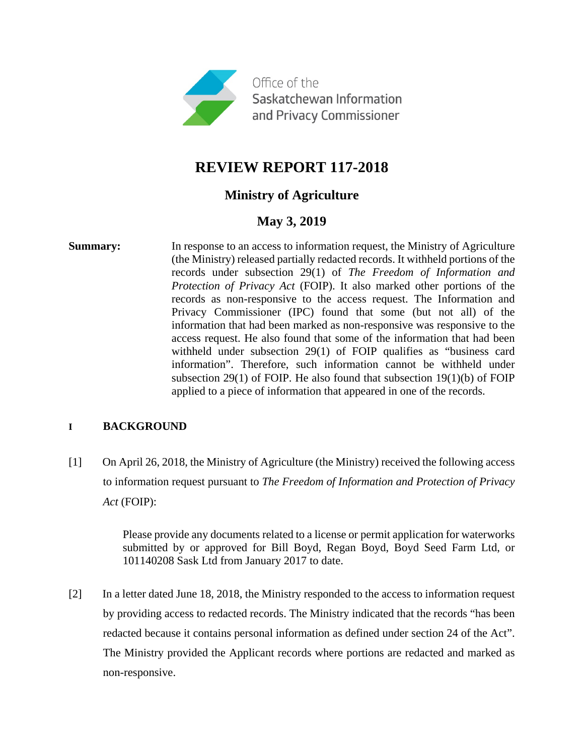

# **REVIEW REPORT 117-2018**

# **Ministry of Agriculture**

# **May 3, 2019**

**Summary:** In response to an access to information request, the Ministry of Agriculture (the Ministry) released partially redacted records. It withheld portions of the records under subsection 29(1) of *The Freedom of Information and Protection of Privacy Act* (FOIP). It also marked other portions of the records as non-responsive to the access request. The Information and Privacy Commissioner (IPC) found that some (but not all) of the information that had been marked as non-responsive was responsive to the access request. He also found that some of the information that had been withheld under subsection 29(1) of FOIP qualifies as "business card information". Therefore, such information cannot be withheld under subsection 29(1) of FOIP. He also found that subsection 19(1)(b) of FOIP applied to a piece of information that appeared in one of the records.

## **I BACKGROUND**

[1] On April 26, 2018, the Ministry of Agriculture (the Ministry) received the following access to information request pursuant to *The Freedom of Information and Protection of Privacy Act* (FOIP):

> Please provide any documents related to a license or permit application for waterworks submitted by or approved for Bill Boyd, Regan Boyd, Boyd Seed Farm Ltd, or 101140208 Sask Ltd from January 2017 to date.

[2] In a letter dated June 18, 2018, the Ministry responded to the access to information request by providing access to redacted records. The Ministry indicated that the records "has been redacted because it contains personal information as defined under section 24 of the Act". The Ministry provided the Applicant records where portions are redacted and marked as non-responsive.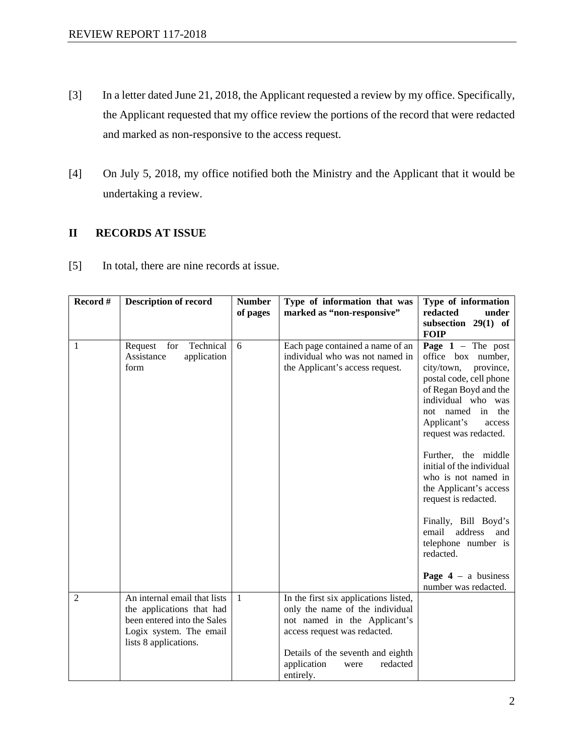- [3] In a letter dated June 21, 2018, the Applicant requested a review by my office. Specifically, the Applicant requested that my office review the portions of the record that were redacted and marked as non-responsive to the access request.
- [4] On July 5, 2018, my office notified both the Ministry and the Applicant that it would be undertaking a review.

# **II RECORDS AT ISSUE**

[5] In total, there are nine records at issue.

| Record #       | <b>Description of record</b>                                                                                                                 | <b>Number</b>  | Type of information that was                                                                                                                                                                                                  | Type of information                                                                                                                                                                                                                                                           |
|----------------|----------------------------------------------------------------------------------------------------------------------------------------------|----------------|-------------------------------------------------------------------------------------------------------------------------------------------------------------------------------------------------------------------------------|-------------------------------------------------------------------------------------------------------------------------------------------------------------------------------------------------------------------------------------------------------------------------------|
|                |                                                                                                                                              | of pages       | marked as "non-responsive"                                                                                                                                                                                                    | redacted<br>under                                                                                                                                                                                                                                                             |
|                |                                                                                                                                              |                |                                                                                                                                                                                                                               | subsection 29(1) of                                                                                                                                                                                                                                                           |
|                |                                                                                                                                              |                |                                                                                                                                                                                                                               | <b>FOIP</b>                                                                                                                                                                                                                                                                   |
| 1              | Technical<br>for<br>Request<br>application<br>Assistance<br>form                                                                             | 6              | Each page contained a name of an<br>individual who was not named in<br>the Applicant's access request.                                                                                                                        | <b>Page 1</b> – The post<br>office box number,<br>city/town,<br>province,<br>postal code, cell phone<br>of Regan Boyd and the<br>individual who was<br>not named in the<br>Applicant's<br>access<br>request was redacted.<br>Further, the middle<br>initial of the individual |
|                |                                                                                                                                              |                |                                                                                                                                                                                                                               | who is not named in<br>the Applicant's access<br>request is redacted.<br>Finally, Bill Boyd's<br>address<br>email<br>and<br>telephone number is<br>redacted.<br><b>Page 4</b> – a business<br>number was redacted.                                                            |
| $\overline{2}$ | An internal email that lists<br>the applications that had<br>been entered into the Sales<br>Logix system. The email<br>lists 8 applications. | $\overline{1}$ | In the first six applications listed,<br>only the name of the individual<br>not named in the Applicant's<br>access request was redacted.<br>Details of the seventh and eighth<br>application<br>redacted<br>were<br>entirely. |                                                                                                                                                                                                                                                                               |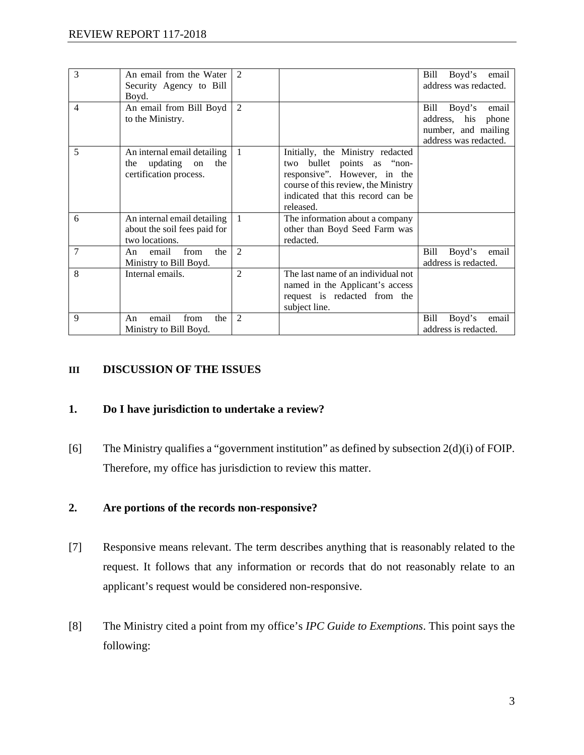| 3              | An email from the Water<br>Security Agency to Bill<br>Boyd.                           | $\mathfrak{D}$ |                                                                                                                                                                                         | Boyd's<br>email<br>Bill<br>address was redacted.                                                 |
|----------------|---------------------------------------------------------------------------------------|----------------|-----------------------------------------------------------------------------------------------------------------------------------------------------------------------------------------|--------------------------------------------------------------------------------------------------|
| $\overline{4}$ | An email from Bill Boyd<br>to the Ministry.                                           | 2              |                                                                                                                                                                                         | Bill<br>Boyd's<br>email<br>address, his<br>phone<br>number, and mailing<br>address was redacted. |
| 5              | An internal email detailing<br>updating<br>the<br>the<br>on<br>certification process. | $\overline{1}$ | Initially, the Ministry redacted<br>two bullet points as "non-<br>responsive". However, in the<br>course of this review, the Ministry<br>indicated that this record can be<br>released. |                                                                                                  |
| 6              | An internal email detailing<br>about the soil fees paid for<br>two locations.         | $\overline{1}$ | The information about a company<br>other than Boyd Seed Farm was<br>redacted.                                                                                                           |                                                                                                  |
| 7              | the<br>from<br>email<br>An<br>Ministry to Bill Boyd.                                  | 2              |                                                                                                                                                                                         | Bill<br>Boyd's<br>email<br>address is redacted.                                                  |
| 8              | Internal emails.                                                                      | $\overline{2}$ | The last name of an individual not<br>named in the Applicant's access<br>request is redacted from the<br>subject line.                                                                  |                                                                                                  |
| 9              | from<br>email<br>the<br>An<br>Ministry to Bill Boyd.                                  | 2              |                                                                                                                                                                                         | Bill<br>Boyd's<br>email<br>address is redacted.                                                  |

### **III DISCUSSION OF THE ISSUES**

### **1. Do I have jurisdiction to undertake a review?**

[6] The Ministry qualifies a "government institution" as defined by subsection 2(d)(i) of FOIP. Therefore, my office has jurisdiction to review this matter.

#### **2. Are portions of the records non-responsive?**

- [7] Responsive means relevant. The term describes anything that is reasonably related to the request. It follows that any information or records that do not reasonably relate to an applicant's request would be considered non-responsive.
- [8] The Ministry cited a point from my office's *IPC Guide to Exemptions*. This point says the following: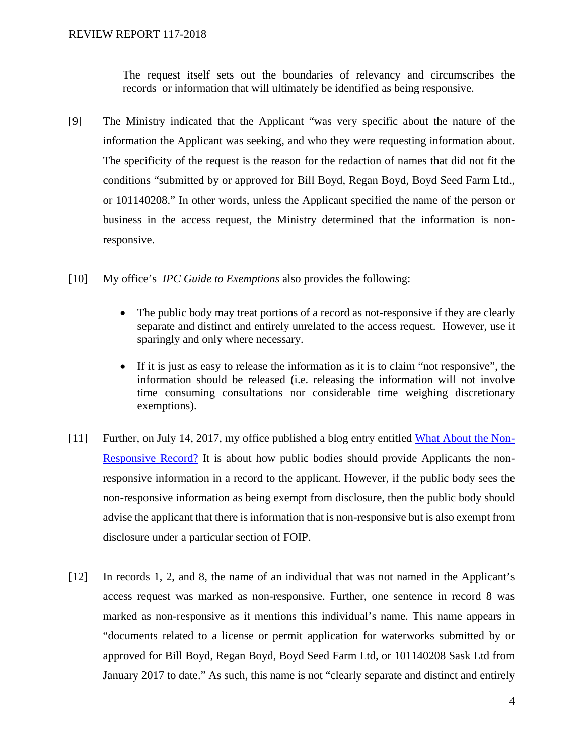The request itself sets out the boundaries of relevancy and circumscribes the records or information that will ultimately be identified as being responsive.

- [9] The Ministry indicated that the Applicant "was very specific about the nature of the information the Applicant was seeking, and who they were requesting information about. The specificity of the request is the reason for the redaction of names that did not fit the conditions "submitted by or approved for Bill Boyd, Regan Boyd, Boyd Seed Farm Ltd., or 101140208." In other words, unless the Applicant specified the name of the person or business in the access request, the Ministry determined that the information is nonresponsive.
- [10] My office's *IPC Guide to Exemptions* also provides the following:
	- The public body may treat portions of a record as not-responsive if they are clearly separate and distinct and entirely unrelated to the access request. However, use it sparingly and only where necessary.
	- If it is just as easy to release the information as it is to claim "not responsive", the information should be released (i.e. releasing the information will not involve time consuming consultations nor considerable time weighing discretionary exemptions).
- [11] Further, on July 14, 2017, my office published a blog entry entitled [What About the Non-](https://oipc.sk.ca/what-about-the-non-responsive-record/)[Responsive Record?](https://oipc.sk.ca/what-about-the-non-responsive-record/) It is about how public bodies should provide Applicants the nonresponsive information in a record to the applicant. However, if the public body sees the non-responsive information as being exempt from disclosure, then the public body should advise the applicant that there is information that is non-responsive but is also exempt from disclosure under a particular section of FOIP.
- [12] In records 1, 2, and 8, the name of an individual that was not named in the Applicant's access request was marked as non-responsive. Further, one sentence in record 8 was marked as non-responsive as it mentions this individual's name. This name appears in "documents related to a license or permit application for waterworks submitted by or approved for Bill Boyd, Regan Boyd, Boyd Seed Farm Ltd, or 101140208 Sask Ltd from January 2017 to date." As such, this name is not "clearly separate and distinct and entirely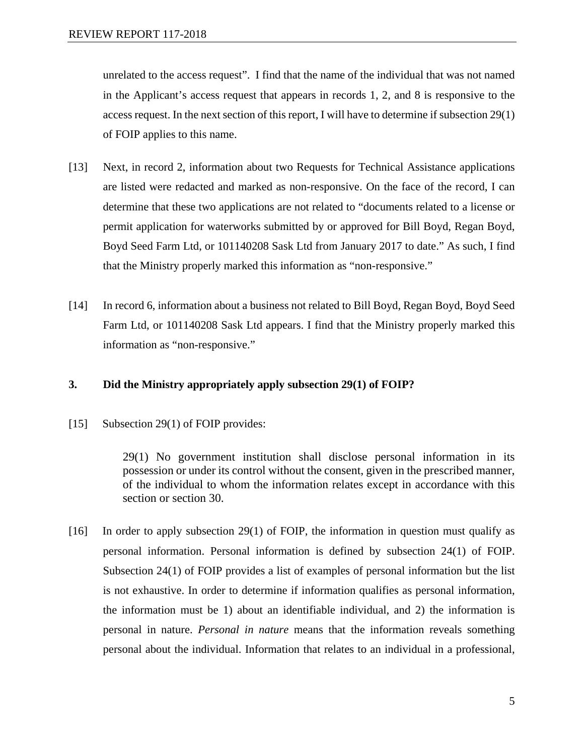unrelated to the access request". I find that the name of the individual that was not named in the Applicant's access request that appears in records 1, 2, and 8 is responsive to the access request. In the next section of this report, I will have to determine if subsection 29(1) of FOIP applies to this name.

- [13] Next, in record 2, information about two Requests for Technical Assistance applications are listed were redacted and marked as non-responsive. On the face of the record, I can determine that these two applications are not related to "documents related to a license or permit application for waterworks submitted by or approved for Bill Boyd, Regan Boyd, Boyd Seed Farm Ltd, or 101140208 Sask Ltd from January 2017 to date." As such, I find that the Ministry properly marked this information as "non-responsive."
- [14] In record 6, information about a business not related to Bill Boyd, Regan Boyd, Boyd Seed Farm Ltd, or 101140208 Sask Ltd appears. I find that the Ministry properly marked this information as "non-responsive."

## **3. Did the Ministry appropriately apply subsection 29(1) of FOIP?**

[15] Subsection 29(1) of FOIP provides:

29(1) No government institution shall disclose personal information in its possession or under its control without the consent, given in the prescribed manner, of the individual to whom the information relates except in accordance with this section or section 30.

[16] In order to apply subsection 29(1) of FOIP, the information in question must qualify as personal information. Personal information is defined by subsection 24(1) of FOIP. Subsection 24(1) of FOIP provides a list of examples of personal information but the list is not exhaustive. In order to determine if information qualifies as personal information, the information must be 1) about an identifiable individual, and 2) the information is personal in nature. *Personal in nature* means that the information reveals something personal about the individual. Information that relates to an individual in a professional,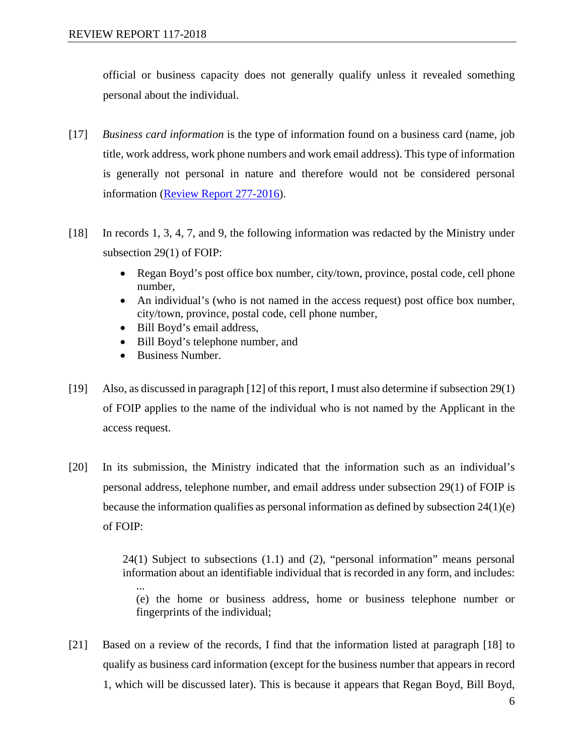official or business capacity does not generally qualify unless it revealed something personal about the individual.

- [17] *Business card information* is the type of information found on a business card (name, job title, work address, work phone numbers and work email address). This type of information is generally not personal in nature and therefore would not be considered personal information [\(Review Report 277-2016\)](https://oipc.sk.ca/assets/foip-review-277-2016.pdf).
- [18] In records 1, 3, 4, 7, and 9, the following information was redacted by the Ministry under subsection 29(1) of FOIP:
	- Regan Boyd's post office box number, city/town, province, postal code, cell phone number,
	- An individual's (who is not named in the access request) post office box number, city/town, province, postal code, cell phone number,
	- Bill Boyd's email address,
	- Bill Boyd's telephone number, and
	- Business Number.
- [19] Also, as discussed in paragraph [12] of this report, I must also determine if subsection 29(1) of FOIP applies to the name of the individual who is not named by the Applicant in the access request.
- [20] In its submission, the Ministry indicated that the information such as an individual's personal address, telephone number, and email address under subsection 29(1) of FOIP is because the information qualifies as personal information as defined by subsection 24(1)(e) of FOIP:

24(1) Subject to subsections (1.1) and (2), "personal information" means personal information about an identifiable individual that is recorded in any form, and includes: ... (e) the home or business address, home or business telephone number or fingerprints of the individual;

[21] Based on a review of the records, I find that the information listed at paragraph [18] to qualify as business card information (except for the business number that appears in record 1, which will be discussed later). This is because it appears that Regan Boyd, Bill Boyd,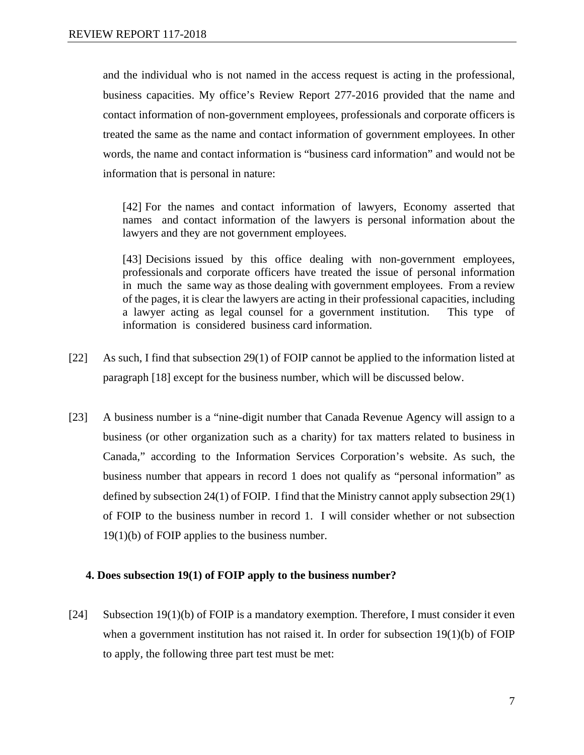and the individual who is not named in the access request is acting in the professional, business capacities. My office's Review Report 277-2016 provided that the name and contact information of non-government employees, professionals and corporate officers is treated the same as the name and contact information of government employees. In other words, the name and contact information is "business card information" and would not be information that is personal in nature:

[42] For the names and contact information of lawyers, Economy asserted that names and contact information of the lawyers is personal information about the lawyers and they are not government employees.

[43] Decisions issued by this office dealing with non-government employees, professionals and corporate officers have treated the issue of personal information in much the same way as those dealing with government employees. From a review of the pages, it is clear the lawyers are acting in their professional capacities, including a lawyer acting as legal counsel for a government institution. This type of information is considered business card information.

- [22] As such, I find that subsection 29(1) of FOIP cannot be applied to the information listed at paragraph [18] except for the business number, which will be discussed below.
- [23] A business number is a "nine-digit number that Canada Revenue Agency will assign to a business (or other organization such as a charity) for tax matters related to business in Canada," according to the Information Services Corporation's website. As such, the business number that appears in record 1 does not qualify as "personal information" as defined by subsection 24(1) of FOIP. I find that the Ministry cannot apply subsection 29(1) of FOIP to the business number in record 1. I will consider whether or not subsection 19(1)(b) of FOIP applies to the business number.

#### **4. Does subsection 19(1) of FOIP apply to the business number?**

[24] Subsection 19(1)(b) of FOIP is a mandatory exemption. Therefore, I must consider it even when a government institution has not raised it. In order for subsection 19(1)(b) of FOIP to apply, the following three part test must be met: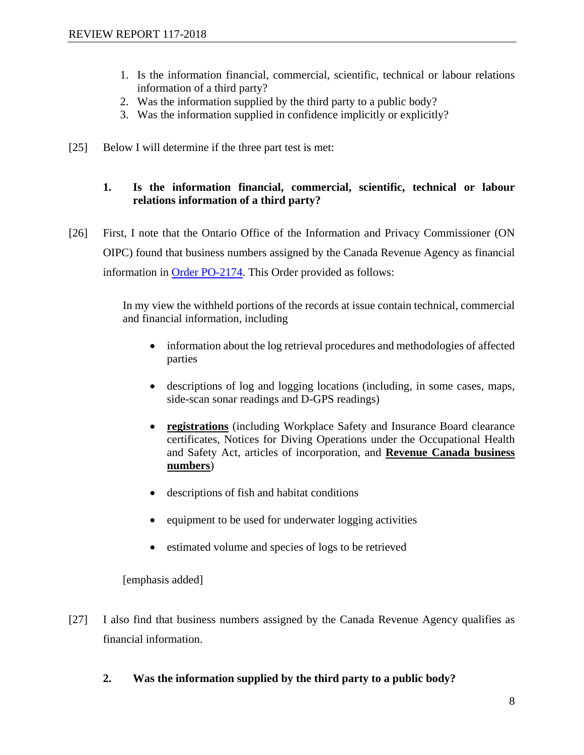- 1. Is the information financial, commercial, scientific, technical or labour relations information of a third party?
- 2. Was the information supplied by the third party to a public body?
- 3. Was the information supplied in confidence implicitly or explicitly?
- [25] Below I will determine if the three part test is met:

## **1. Is the information financial, commercial, scientific, technical or labour relations information of a third party?**

[26] First, I note that the Ontario Office of the Information and Privacy Commissioner (ON OIPC) found that business numbers assigned by the Canada Revenue Agency as financial information in [Order PO-2174.](http://canlii.ca/t/1r170) This Order provided as follows:

> In my view the withheld portions of the records at issue contain technical, commercial and financial information, including

- information about the log retrieval procedures and methodologies of affected parties
- descriptions of log and logging locations (including, in some cases, maps, side-scan sonar readings and D-GPS readings)
- **registrations** (including Workplace Safety and Insurance Board clearance certificates, Notices for Diving Operations under the Occupational Health and Safety Act, articles of incorporation, and **Revenue Canada business numbers**)
- descriptions of fish and habitat conditions
- equipment to be used for underwater logging activities
- estimated volume and species of logs to be retrieved

[emphasis added]

- [27] I also find that business numbers assigned by the Canada Revenue Agency qualifies as financial information.
	- **2. Was the information supplied by the third party to a public body?**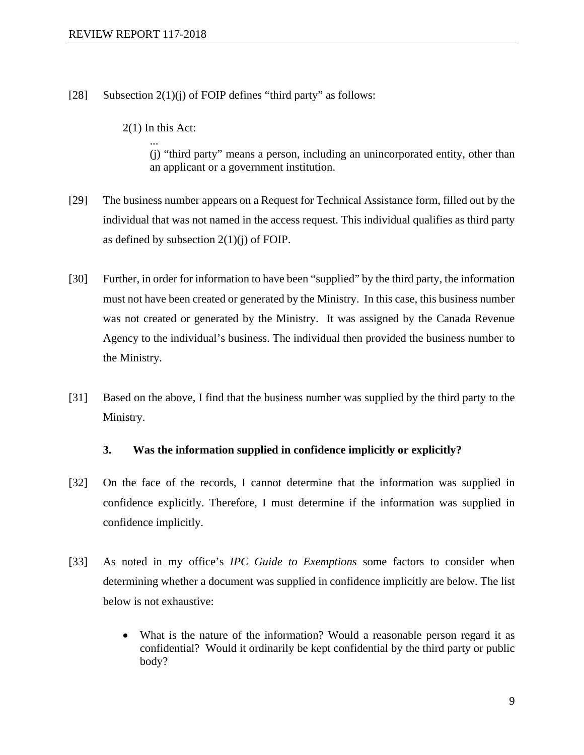- [28] Subsection  $2(1)(i)$  of FOIP defines "third party" as follows:
	- 2(1) In this Act: ...

(j) "third party" means a person, including an unincorporated entity, other than an applicant or a government institution.

- [29] The business number appears on a Request for Technical Assistance form, filled out by the individual that was not named in the access request. This individual qualifies as third party as defined by subsection  $2(1)(i)$  of FOIP.
- [30] Further, in order for information to have been "supplied" by the third party, the information must not have been created or generated by the Ministry. In this case, this business number was not created or generated by the Ministry. It was assigned by the Canada Revenue Agency to the individual's business. The individual then provided the business number to the Ministry.
- [31] Based on the above, I find that the business number was supplied by the third party to the Ministry.

#### **3. Was the information supplied in confidence implicitly or explicitly?**

- [32] On the face of the records, I cannot determine that the information was supplied in confidence explicitly. Therefore, I must determine if the information was supplied in confidence implicitly.
- [33] As noted in my office's *IPC Guide to Exemptions* some factors to consider when determining whether a document was supplied in confidence implicitly are below. The list below is not exhaustive:
	- What is the nature of the information? Would a reasonable person regard it as confidential? Would it ordinarily be kept confidential by the third party or public body?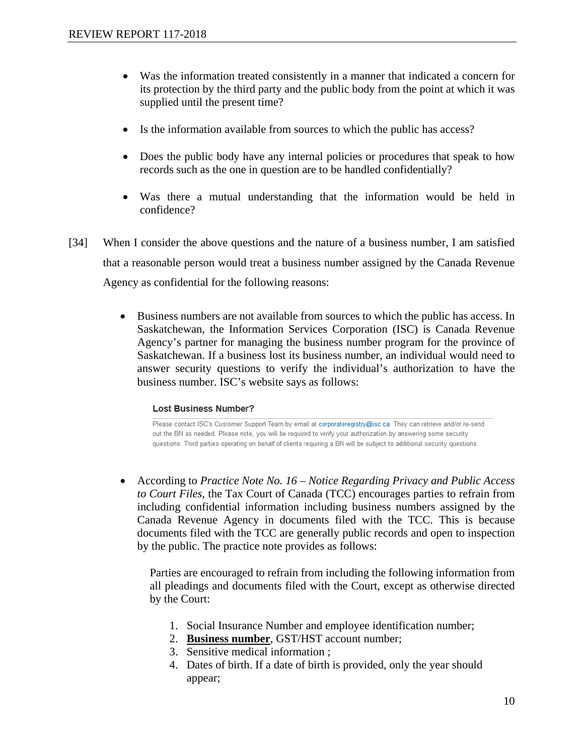- Was the information treated consistently in a manner that indicated a concern for its protection by the third party and the public body from the point at which it was supplied until the present time?
- Is the information available from sources to which the public has access?
- Does the public body have any internal policies or procedures that speak to how records such as the one in question are to be handled confidentially?
- Was there a mutual understanding that the information would be held in confidence?
- [34] When I consider the above questions and the nature of a business number, I am satisfied that a reasonable person would treat a business number assigned by the Canada Revenue Agency as confidential for the following reasons:
	- Business numbers are not available from sources to which the public has access. In Saskatchewan, the Information Services Corporation (ISC) is Canada Revenue Agency's partner for managing the business number program for the province of Saskatchewan. If a business lost its business number, an individual would need to answer security questions to verify the individual's authorization to have the business number. ISC's website says as follows:

#### **Lost Business Number?**

Please contact ISC's Customer Support Team by email at corporateregistry@isc.ca. They can retrieve and/or re-send out the BN as needed. Please note, you will be required to verify your authorization by answering some security questions. Third parties operating on behalf of clients requiring a BN will be subject to additional security questions.

• According to *Practice Note No. 16 – Notice Regarding Privacy and Public Access to Court Files*, the Tax Court of Canada (TCC) encourages parties to refrain from including confidential information including business numbers assigned by the Canada Revenue Agency in documents filed with the TCC. This is because documents filed with the TCC are generally public records and open to inspection by the public. The practice note provides as follows:

Parties are encouraged to refrain from including the following information from all pleadings and documents filed with the Court, except as otherwise directed by the Court:

- 1. Social Insurance Number and employee identification number;
- 2. **Business number**, GST/HST account number;
- 3. Sensitive medical information ;
- 4. Dates of birth. If a date of birth is provided, only the year should appear;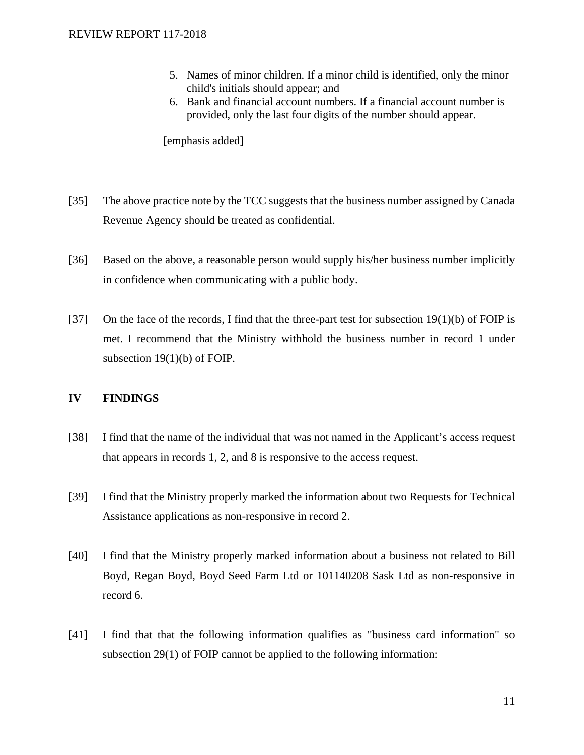- 5. Names of minor children. If a minor child is identified, only the minor child's initials should appear; and
- 6. Bank and financial account numbers. If a financial account number is provided, only the last four digits of the number should appear.

[emphasis added]

- [35] The above practice note by the TCC suggests that the business number assigned by Canada Revenue Agency should be treated as confidential.
- [36] Based on the above, a reasonable person would supply his/her business number implicitly in confidence when communicating with a public body.
- [37] On the face of the records, I find that the three-part test for subsection  $19(1)(b)$  of FOIP is met. I recommend that the Ministry withhold the business number in record 1 under subsection 19(1)(b) of FOIP.

#### **IV FINDINGS**

- [38] I find that the name of the individual that was not named in the Applicant's access request that appears in records 1, 2, and 8 is responsive to the access request.
- [39] I find that the Ministry properly marked the information about two Requests for Technical Assistance applications as non-responsive in record 2.
- [40] I find that the Ministry properly marked information about a business not related to Bill Boyd, Regan Boyd, Boyd Seed Farm Ltd or 101140208 Sask Ltd as non-responsive in record 6.
- [41] I find that that the following information qualifies as "business card information" so subsection 29(1) of FOIP cannot be applied to the following information: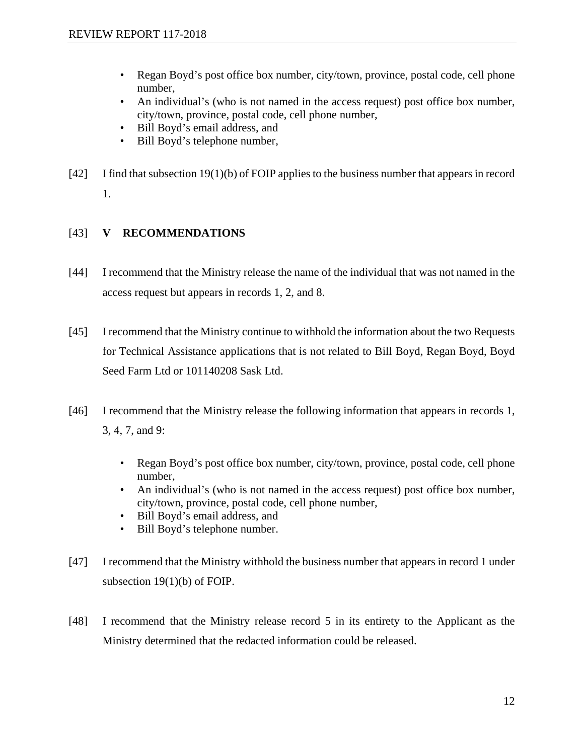- Regan Boyd's post office box number, city/town, province, postal code, cell phone number,
- An individual's (who is not named in the access request) post office box number, city/town, province, postal code, cell phone number,
- Bill Boyd's email address, and
- Bill Boyd's telephone number,
- [42] I find that subsection 19(1)(b) of FOIP applies to the business number that appears in record 1.

## [43] **V RECOMMENDATIONS**

- [44] I recommend that the Ministry release the name of the individual that was not named in the access request but appears in records 1, 2, and 8.
- [45] I recommend that the Ministry continue to withhold the information about the two Requests for Technical Assistance applications that is not related to Bill Boyd, Regan Boyd, Boyd Seed Farm Ltd or 101140208 Sask Ltd.
- [46] I recommend that the Ministry release the following information that appears in records 1, 3, 4, 7, and 9:
	- Regan Boyd's post office box number, city/town, province, postal code, cell phone number,
	- An individual's (who is not named in the access request) post office box number, city/town, province, postal code, cell phone number,
	- Bill Boyd's email address, and
	- Bill Boyd's telephone number.
- [47] I recommend that the Ministry withhold the business number that appears in record 1 under subsection 19(1)(b) of FOIP.
- [48] I recommend that the Ministry release record 5 in its entirety to the Applicant as the Ministry determined that the redacted information could be released.